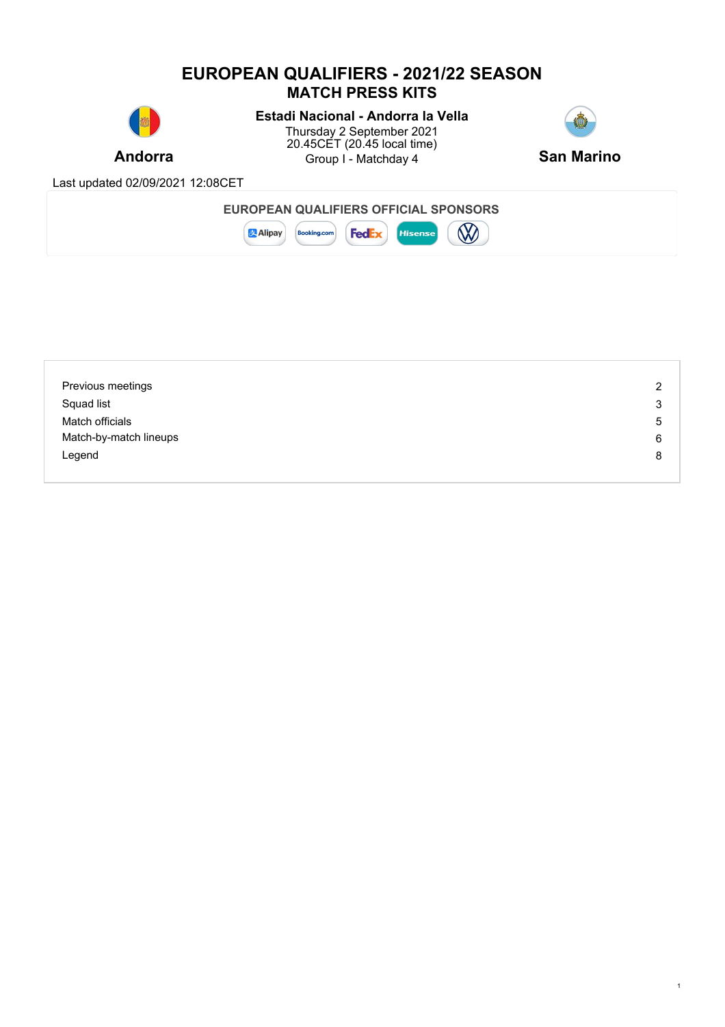## **EUROPEAN QUALIFIERS - 2021/22 SEASON MATCH PRESS KITS**



# **Estadi Nacional - Andorra la Vella**

**Andorra Example 3** Group I - Matchday 4 **San Marino** Thursday 2 September 2021 20.45CET (20.45 local time)



1

Last updated 02/09/2021 12:08CET

| <b>EUROPEAN QUALIFIERS OFFICIAL !</b> | <b>SPONSORS</b> |  |
|---------------------------------------|-----------------|--|
|                                       |                 |  |



| Previous meetings      | $\overline{2}$ |
|------------------------|----------------|
| Squad list             | 3              |
| Match officials        | 5              |
| Match-by-match lineups | 6              |
| Legend                 | 8              |
|                        |                |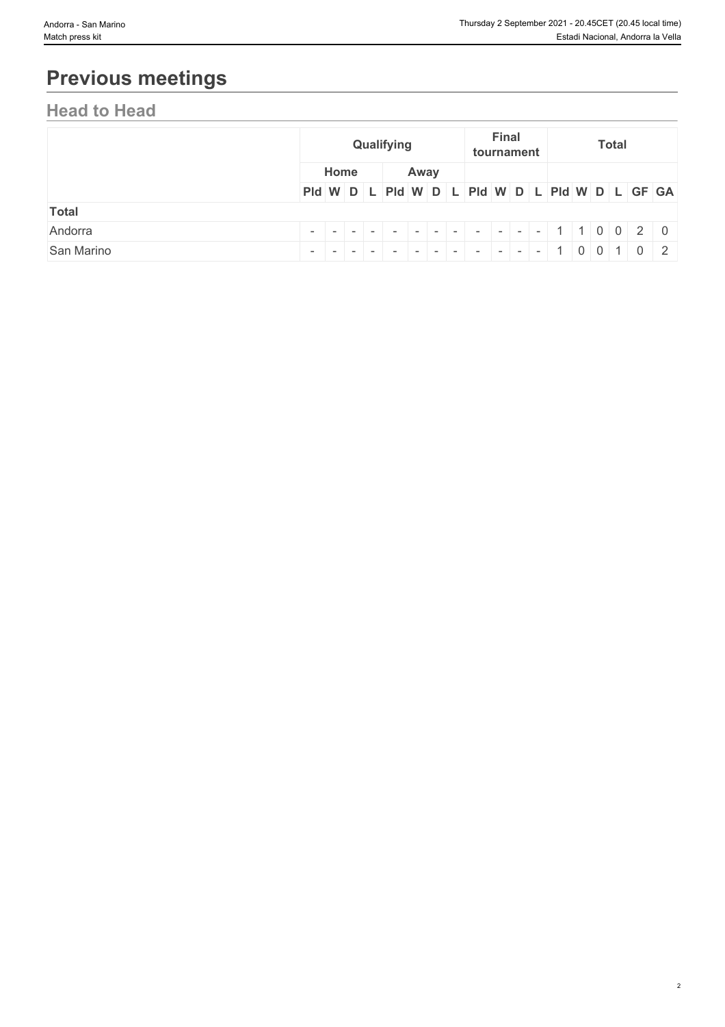# **Previous meetings**

# **Head to Head**

|              |                                               | Qualifying |  |  |      |  |  | Final<br>tournament |  |  |  | <b>Total</b> |  |  |  |  |  |  |
|--------------|-----------------------------------------------|------------|--|--|------|--|--|---------------------|--|--|--|--------------|--|--|--|--|--|--|
|              | Home                                          |            |  |  | Away |  |  |                     |  |  |  |              |  |  |  |  |  |  |
|              | Pid W D L Pid W D L Pid W D L Pid W D L GF GA |            |  |  |      |  |  |                     |  |  |  |              |  |  |  |  |  |  |
| <b>Total</b> |                                               |            |  |  |      |  |  |                     |  |  |  |              |  |  |  |  |  |  |
| Andorra      |                                               |            |  |  |      |  |  |                     |  |  |  |              |  |  |  |  |  |  |
| San Marino   |                                               |            |  |  |      |  |  |                     |  |  |  |              |  |  |  |  |  |  |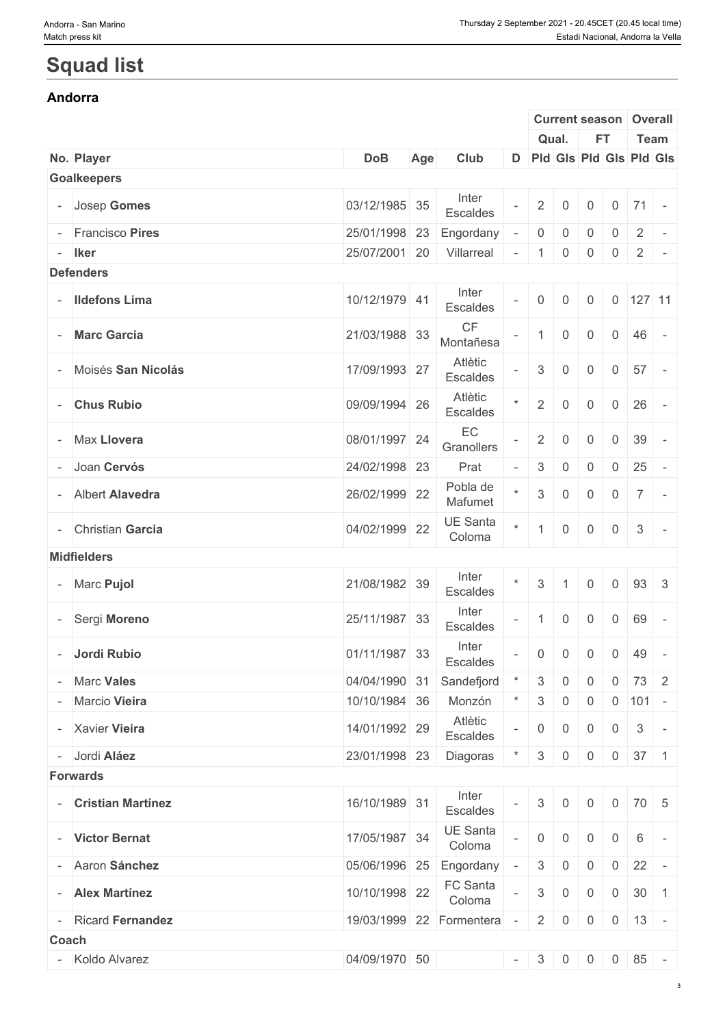# **Squad list**

#### **Andorra**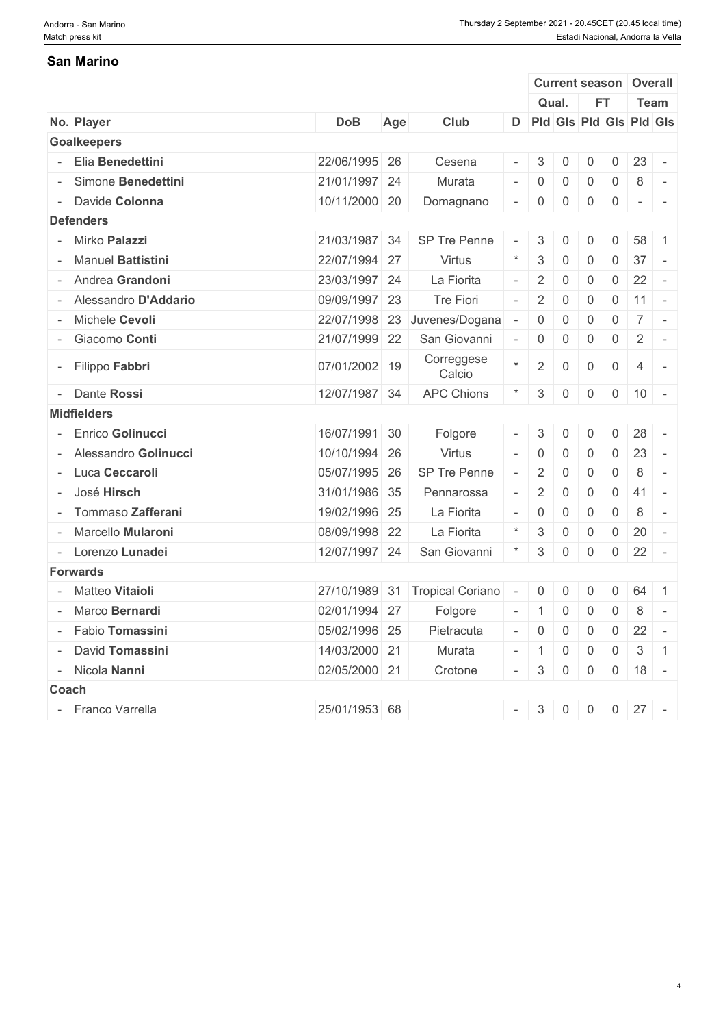### **San Marino**

|                    |                        |               |     |                         |                          |                  |                |                |                | <b>Current season Overall</b>                                                                                                                                                                                                                                                                                                                                                                                                                                                         |                          |
|--------------------|------------------------|---------------|-----|-------------------------|--------------------------|------------------|----------------|----------------|----------------|---------------------------------------------------------------------------------------------------------------------------------------------------------------------------------------------------------------------------------------------------------------------------------------------------------------------------------------------------------------------------------------------------------------------------------------------------------------------------------------|--------------------------|
|                    |                        |               |     |                         |                          |                  | Qual.          | FT.            |                | <b>Team</b>                                                                                                                                                                                                                                                                                                                                                                                                                                                                           |                          |
| No. Player         |                        | <b>DoB</b>    | Age | Club                    |                          |                  |                |                |                | D Pld Gls Pld Gls Pld Gls                                                                                                                                                                                                                                                                                                                                                                                                                                                             |                          |
|                    | <b>Goalkeepers</b>     |               |     |                         |                          |                  |                |                |                |                                                                                                                                                                                                                                                                                                                                                                                                                                                                                       |                          |
|                    | Elia Benedettini       | 22/06/1995 26 |     | Cesena                  |                          | 3                | $\overline{0}$ | 0              | $\overline{0}$ | 23                                                                                                                                                                                                                                                                                                                                                                                                                                                                                    | $\sim$                   |
|                    | - Simone Benedettini   | 21/01/1997 24 |     | Murata                  |                          | $-$ 0            | $\overline{0}$ | 0              | $\mathbf 0$    | 8                                                                                                                                                                                                                                                                                                                                                                                                                                                                                     |                          |
|                    | - Davide Colonna       | 10/11/2000 20 |     | Domagnano               | $\overline{\phantom{a}}$ | $\overline{0}$   | $\mathbf 0$    | $\overline{0}$ | $\overline{0}$ | $\begin{array}{ccccccccccccc} \multicolumn{2}{c}{} & \multicolumn{2}{c}{} & \multicolumn{2}{c}{} & \multicolumn{2}{c}{} & \multicolumn{2}{c}{} & \multicolumn{2}{c}{} & \multicolumn{2}{c}{} & \multicolumn{2}{c}{} & \multicolumn{2}{c}{} & \multicolumn{2}{c}{} & \multicolumn{2}{c}{} & \multicolumn{2}{c}{} & \multicolumn{2}{c}{} & \multicolumn{2}{c}{} & \multicolumn{2}{c}{} & \multicolumn{2}{c}{} & \multicolumn{2}{c}{} & \multicolumn{2}{c}{} & \multicolumn{2}{c}{} & \$ |                          |
| <b>Defenders</b>   |                        |               |     |                         |                          |                  |                |                |                |                                                                                                                                                                                                                                                                                                                                                                                                                                                                                       |                          |
|                    | - Mirko Palazzi        | 21/03/1987 34 |     | SP Tre Penne            |                          | 3                | $\mathbf 0$    | $\mathbf 0$    | $\mathsf{O}$   | 58                                                                                                                                                                                                                                                                                                                                                                                                                                                                                    | $\overline{1}$           |
|                    | - Manuel Battistini    | 22/07/1994 27 |     | Virtus                  |                          | $\mathbf{3}$     | $\mathbf 0$    | 0              | $\mathsf{O}$   | 37                                                                                                                                                                                                                                                                                                                                                                                                                                                                                    | $\sim$ $-$               |
|                    | - Andrea Grandoni      | 23/03/1997 24 |     | La Fiorita              | $-$                      | $\overline{2}$   | $\mathbf 0$    | 0              | $\overline{0}$ | 22                                                                                                                                                                                                                                                                                                                                                                                                                                                                                    | $\sim$ $-$               |
|                    | - Alessandro D'Addario | 09/09/1997 23 |     | Tre Fiori               |                          | 2                | $\mathbf 0$    | $\overline{0}$ | $\overline{0}$ | $11 -$                                                                                                                                                                                                                                                                                                                                                                                                                                                                                |                          |
|                    | - Michele Cevoli       | 22/07/1998 23 |     | Juvenes/Dogana          |                          | $\overline{0}$   | $\overline{0}$ | 0              | $\overline{0}$ | $7$ -                                                                                                                                                                                                                                                                                                                                                                                                                                                                                 |                          |
|                    | - Giacomo Conti        | 21/07/1999 22 |     | San Giovanni            |                          | $\boldsymbol{0}$ | $\mathbf 0$    | $\overline{0}$ | $\overline{0}$ | $\overline{2}$                                                                                                                                                                                                                                                                                                                                                                                                                                                                        | $\sim$                   |
|                    | - Filippo Fabbri       | 07/01/2002 19 |     | Correggese<br>Calcio    |                          | $\sqrt{2}$       | $\mathbf 0$    | $\overline{0}$ | $\mathbf 0$    | $\overline{4}$                                                                                                                                                                                                                                                                                                                                                                                                                                                                        | $\sim$ $-$               |
|                    | - Dante Rossi          | 12/07/1987 34 |     | <b>APC Chions</b>       |                          | 3 <sup>1</sup>   | $\mathbf 0$    | $\overline{0}$ |                | $0 \mid 10 \mid$                                                                                                                                                                                                                                                                                                                                                                                                                                                                      | $\sim$                   |
| <b>Midfielders</b> |                        |               |     |                         |                          |                  |                |                |                |                                                                                                                                                                                                                                                                                                                                                                                                                                                                                       |                          |
|                    | Enrico Golinucci       | 16/07/1991 30 |     | Folgore                 | $\overline{\phantom{a}}$ | 3                | 0              | $\mathbf 0$    | $\mathsf{O}$   | 28                                                                                                                                                                                                                                                                                                                                                                                                                                                                                    |                          |
|                    | - Alessandro Golinucci | 10/10/1994 26 |     | Virtus                  |                          | $-$ 0            | $\overline{0}$ | $\overline{0}$ | $\overline{0}$ | 23                                                                                                                                                                                                                                                                                                                                                                                                                                                                                    | $\sim$                   |
|                    | - Luca Ceccaroli       | 05/07/1995 26 |     | SP Tre Penne            |                          | $\overline{2}$   | $\mathbf 0$    | 0              | 0              | 8                                                                                                                                                                                                                                                                                                                                                                                                                                                                                     | $\sim$                   |
|                    | - José Hirsch          | 31/01/1986 35 |     | Pennarossa              |                          | $\overline{2}$   | $\Omega$       | 0              | $\overline{0}$ | 41                                                                                                                                                                                                                                                                                                                                                                                                                                                                                    | $\sim$ $-$               |
|                    | - Tommaso Zafferani    | 19/02/1996 25 |     | La Fiorita              | $\overline{\phantom{a}}$ | $\overline{0}$   | $\mathbf 0$    | $\overline{0}$ | $\mathsf{O}$   | 8                                                                                                                                                                                                                                                                                                                                                                                                                                                                                     | $\sim$                   |
|                    | - Marcello Mularoni    | 08/09/1998 22 |     | La Fiorita              |                          | 3                | $\overline{0}$ | 0              | $\mathsf{O}$   | 20                                                                                                                                                                                                                                                                                                                                                                                                                                                                                    | $\sim$                   |
|                    | - Lorenzo Lunadei      | 12/07/1997 24 |     | San Giovanni            |                          | $\sqrt{3}$       | $\overline{0}$ | $\overline{0}$ |                | $0 \mid 22 \mid -$                                                                                                                                                                                                                                                                                                                                                                                                                                                                    |                          |
| <b>Forwards</b>    |                        |               |     |                         |                          |                  |                |                |                |                                                                                                                                                                                                                                                                                                                                                                                                                                                                                       |                          |
|                    | - Matteo Vitaioli      | 27/10/1989 31 |     | <b>Tropical Coriano</b> |                          | $\overline{0}$   | $\mathbf 0$    | $\overline{0}$ | $\mathbf 0$    | 64                                                                                                                                                                                                                                                                                                                                                                                                                                                                                    | $\overline{1}$           |
|                    | - Marco Bernardi       | 02/01/1994 27 |     | Folgore                 | $\overline{\phantom{a}}$ | $\vert$ 1        | $\overline{0}$ | $\overline{0}$ | $\overline{0}$ | 8                                                                                                                                                                                                                                                                                                                                                                                                                                                                                     | $\overline{\phantom{a}}$ |
|                    | - Fabio Tomassini      | 05/02/1996 25 |     | Pietracuta              |                          |                  | $\overline{0}$ | $\overline{0}$ |                | $0 \mid 22 \mid -$                                                                                                                                                                                                                                                                                                                                                                                                                                                                    |                          |
|                    | - David Tomassini      | 14/03/2000 21 |     | Murata                  |                          | $-$ 1            | $\overline{0}$ | $\overline{0}$ |                | $0 \mid 3 \mid 1$                                                                                                                                                                                                                                                                                                                                                                                                                                                                     |                          |
|                    | - Nicola Nanni         | 02/05/2000 21 |     | Crotone                 |                          |                  |                |                |                | $-$ 3 0 0 0 18 -                                                                                                                                                                                                                                                                                                                                                                                                                                                                      |                          |
|                    |                        |               |     |                         |                          |                  |                |                |                |                                                                                                                                                                                                                                                                                                                                                                                                                                                                                       |                          |
| Coach              |                        |               |     |                         |                          |                  |                |                |                |                                                                                                                                                                                                                                                                                                                                                                                                                                                                                       |                          |
|                    | - Franco Varrella      | 25/01/1953 68 |     |                         |                          |                  |                |                |                | $-$ 3 0 0 0 27 -                                                                                                                                                                                                                                                                                                                                                                                                                                                                      |                          |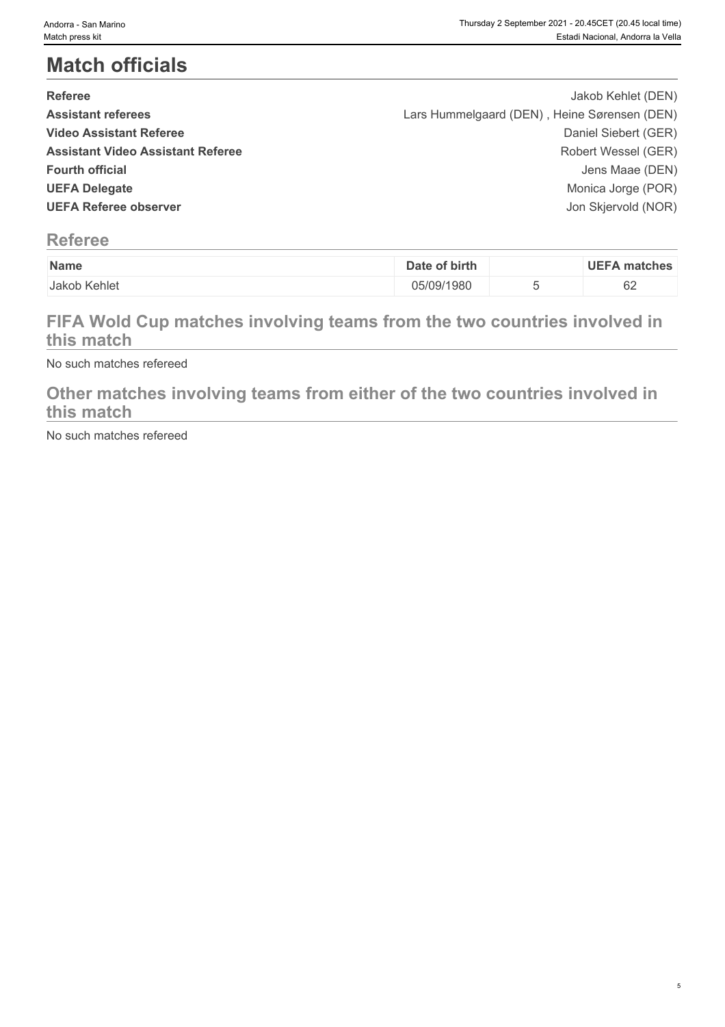# **Match officials**

| <b>Referee</b>                           | Jakob Kehlet (DEN)                           |  |
|------------------------------------------|----------------------------------------------|--|
| <b>Assistant referees</b>                | Lars Hummelgaard (DEN), Heine Sørensen (DEN) |  |
| <b>Video Assistant Referee</b>           | Daniel Siebert (GER)                         |  |
| <b>Assistant Video Assistant Referee</b> | Robert Wessel (GER)                          |  |
| <b>Fourth official</b>                   | Jens Maae (DEN)                              |  |
| <b>UEFA Delegate</b>                     | Monica Jorge (POR)                           |  |
| <b>UEFA Referee observer</b>             | Jon Skjervold (NOR)                          |  |
|                                          |                                              |  |

# **Referee**

| Name              | of birth<br>)ate | IE.<br>matches |
|-------------------|------------------|----------------|
| Kehlet<br>Jakob . | 05/09/1980       | $\sim$<br>◡▵   |

# **FIFA Wold Cup matches involving teams from the two countries involved in this match**

No such matches refereed

### **Other matches involving teams from either of the two countries involved in this match**

No such matches refereed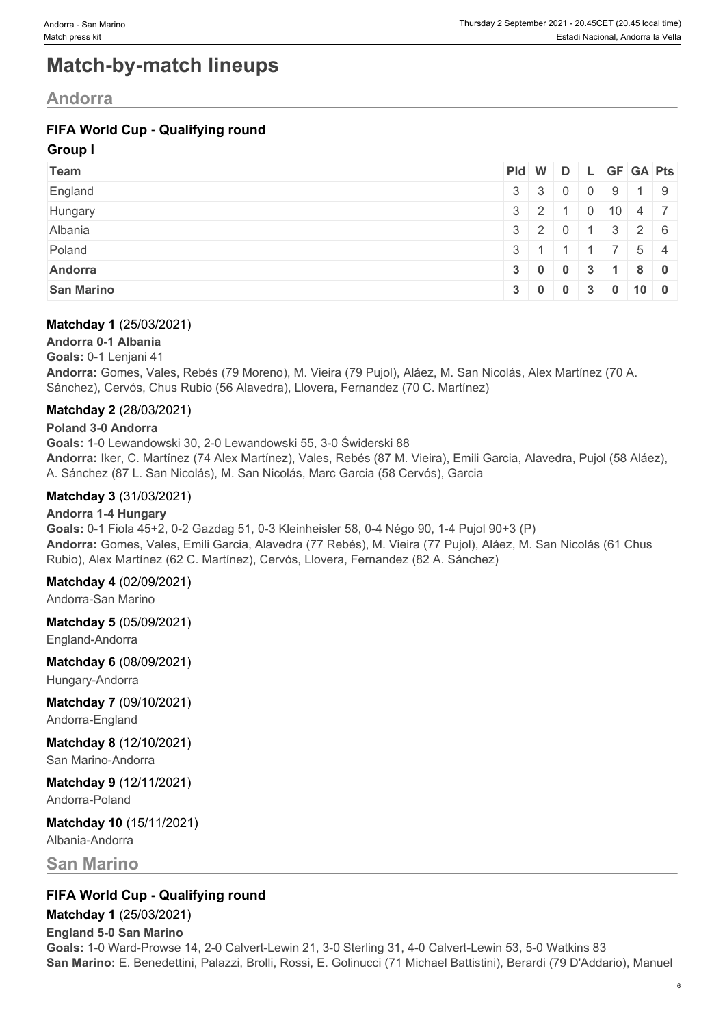# **Match-by-match lineups**

## **Andorra**

### **FIFA World Cup - Qualifying round**

#### **Group I**

| Team              |     | Pid W D L GF GA Pts                           |                                                                                       |                  |                           |  |
|-------------------|-----|-----------------------------------------------|---------------------------------------------------------------------------------------|------------------|---------------------------|--|
| England           |     | $3 \mid 3 \mid 0 \mid 0 \mid 9 \mid 1 \mid 9$ |                                                                                       |                  |                           |  |
| Hungary           |     | $3 \mid 2 \mid 1$                             |                                                                                       |                  | $0 \mid 10 \mid 4 \mid 7$ |  |
| Albania           |     | $3 \mid 2 \mid 0 \mid 1 \mid 3 \mid 2 \mid 6$ |                                                                                       |                  |                           |  |
| Poland            | 3 1 |                                               | $\begin{array}{\begin{array}{\small \begin{array}{\small \end{array}}}}\n\end{array}$ | $\blacksquare$ 1 | $\prime$ 54               |  |
| Andorra           |     | 3   0   0   3   1   8   0                     |                                                                                       |                  |                           |  |
| <b>San Marino</b> |     | 3   0   0   3   0                             |                                                                                       |                  | 100                       |  |

#### **Matchday 1** (25/03/2021)

**Andorra 0-1 Albania Goals:** 0-1 Lenjani 41 **Andorra:** Gomes, Vales, Rebés (79 Moreno), M. Vieira (79 Pujol), Aláez, M. San Nicolás, Alex Martínez (70 A. Sánchez), Cervós, Chus Rubio (56 Alavedra), Llovera, Fernandez (70 C. Martínez)

#### **Matchday 2** (28/03/2021)

#### **Poland 3-0 Andorra**

**Goals:** 1-0 Lewandowski 30, 2-0 Lewandowski 55, 3-0 Świderski 88 **Andorra:** Iker, C. Martínez (74 Alex Martínez), Vales, Rebés (87 M. Vieira), Emili Garcia, Alavedra, Pujol (58 Aláez), A. Sánchez (87 L. San Nicolás), M. San Nicolás, Marc Garcia (58 Cervós), Garcia

#### **Matchday 3** (31/03/2021)

#### **Andorra 1-4 Hungary**

**Goals:** 0-1 Fiola 45+2, 0-2 Gazdag 51, 0-3 Kleinheisler 58, 0-4 Négo 90, 1-4 Pujol 90+3 (P) **Andorra:** Gomes, Vales, Emili Garcia, Alavedra (77 Rebés), M. Vieira (77 Pujol), Aláez, M. San Nicolás (61 Chus Rubio), Alex Martínez (62 C. Martínez), Cervós, Llovera, Fernandez (82 A. Sánchez)

#### **Matchday 4** (02/09/2021)

Andorra-San Marino

#### **Matchday 5** (05/09/2021)

England-Andorra

**Matchday 6** (08/09/2021)

Hungary-Andorra

#### **Matchday 7** (09/10/2021) Andorra-England

# **Matchday 8** (12/10/2021)

San Marino-Andorra

#### **Matchday 9** (12/11/2021) Andorra-Poland

#### **Matchday 10** (15/11/2021) Albania-Andorra

**San Marino**

### **FIFA World Cup - Qualifying round**

**Matchday 1** (25/03/2021) **England 5-0 San Marino Goals:** 1-0 Ward-Prowse 14, 2-0 Calvert-Lewin 21, 3-0 Sterling 31, 4-0 Calvert-Lewin 53, 5-0 Watkins 83 **San Marino:** E. Benedettini, Palazzi, Brolli, Rossi, E. Golinucci (71 Michael Battistini), Berardi (79 D'Addario), Manuel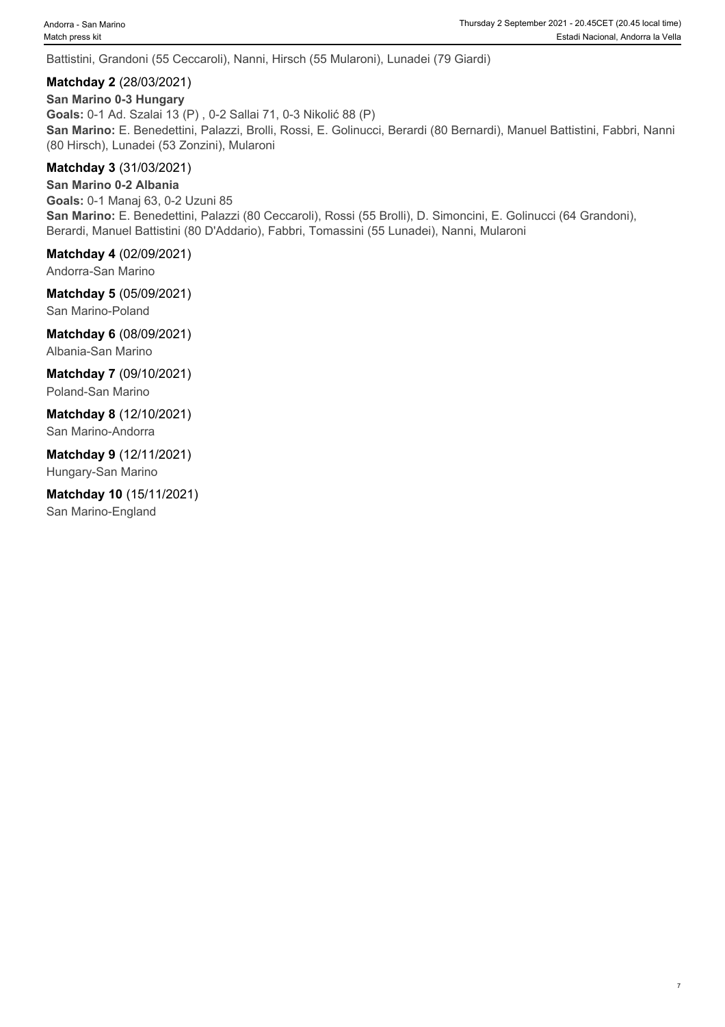Battistini, Grandoni (55 Ceccaroli), Nanni, Hirsch (55 Mularoni), Lunadei (79 Giardi)

#### **Matchday 2** (28/03/2021)

**San Marino 0-3 Hungary Goals:** 0-1 Ad. Szalai 13 (P) , 0-2 Sallai 71, 0-3 Nikolić 88 (P) **San Marino:** E. Benedettini, Palazzi, Brolli, Rossi, E. Golinucci, Berardi (80 Bernardi), Manuel Battistini, Fabbri, Nanni (80 Hirsch), Lunadei (53 Zonzini), Mularoni

#### **Matchday 3** (31/03/2021)

**San Marino 0-2 Albania Goals:** 0-1 Manaj 63, 0-2 Uzuni 85 **San Marino:** E. Benedettini, Palazzi (80 Ceccaroli), Rossi (55 Brolli), D. Simoncini, E. Golinucci (64 Grandoni), Berardi, Manuel Battistini (80 D'Addario), Fabbri, Tomassini (55 Lunadei), Nanni, Mularoni

**Matchday 4** (02/09/2021)

Andorra-San Marino

**Matchday 5** (05/09/2021)

San Marino-Poland

**Matchday 6** (08/09/2021) Albania-San Marino

**Matchday 7** (09/10/2021) Poland-San Marino

**Matchday 8** (12/10/2021) San Marino-Andorra

**Matchday 9** (12/11/2021) Hungary-San Marino

**Matchday 10** (15/11/2021) San Marino-England